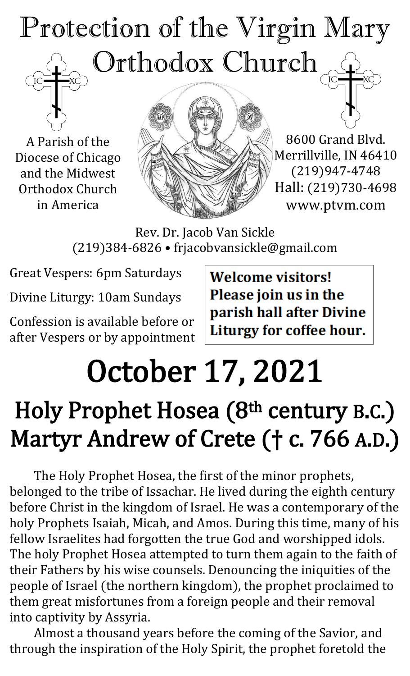# Protection of the Virgin Mary Orthodox Church

A Parish of the Diocese of Chicago and the Midwest Orthodox Church in America



8600 Grand Blvd. Merrillville, IN 46410 (219)947-4748 Hall: (219)730-4698 www.ptvm.com

Rev. Dr. Jacob Van Sickle (219)384-6826 • frjacobvansickle@gmail.com

Great Vespers: 6pm Saturdays

Divine Liturgy: 10am Sundays

Confession is available before or after Vespers or by appointment **Welcome visitors!** Please join us in the parish hall after Divine Liturgy for coffee hour.

# October 17, 2021

# Holy Prophet Hosea (8<sup>th</sup> century B.C.) Martyr Andrew of Crete († c. 766 A.D.)

The Holy Prophet Hosea, the first of the minor prophets, belonged to the tribe of Issachar. He lived during the eighth century before Christ in the kingdom of Israel. He was a contemporary of the holy Prophets Isaiah, Micah, and Amos. During this time, many of his fellow Israelites had forgotten the true God and worshipped idols. The holy Prophet Hosea attempted to turn them again to the faith of their Fathers by his wise counsels. Denouncing the iniquities of the people of Israel (the northern kingdom), the prophet proclaimed to them great misfortunes from a foreign people and their removal into captivity by Assyria.

Almost a thousand years before the coming of the Savior, and through the inspiration of the Holy Spirit, the prophet foretold the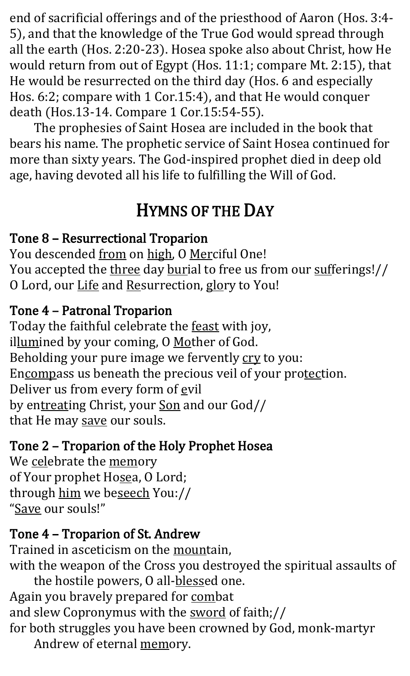end of sacrificial offerings and of the priesthood of Aaron (Hos. 3:4- 5), and that the knowledge of the True God would spread through all the earth (Hos. 2:20-23). Hosea spoke also about Christ, how He would return from out of Egypt (Hos. 11:1; compare Mt. 2:15), that He would be resurrected on the third day (Hos. 6 and especially Hos. 6:2; compare with 1 Cor.15:4), and that He would conquer death (Hos.13-14. Compare 1 Cor.15:54-55).

The prophesies of Saint Hosea are included in the book that bears his name. The prophetic service of Saint Hosea continued for more than sixty years. The God-inspired prophet died in deep old age, having devoted all his life to fulfilling the Will of God.

# HYMNS OF THE DAY

#### Tone 8 – Resurrectional Troparion

You descended from on high, O Merciful One! You accepted the three day burial to free us from our sufferings!// O Lord, our Life and Resurrection, glory to You!

#### Tone 4 – Patronal Troparion

Today the faithful celebrate the feast with joy, illumined by your coming, O Mother of God. Beholding your pure image we fervently cry to you: Encompass us beneath the precious veil of your protection. Deliver us from every form of evil by entreating Christ, your Son and our God// that He may save our souls.

#### Tone 2 – Troparion of the Holy Prophet Hosea

We celebrate the memory of Your prophet Hosea, O Lord; through him we beseech You:// "Save our souls!"

# Tone 4 – Troparion of St. Andrew

Trained in asceticism on the mountain, with the weapon of the Cross you destroyed the spiritual assaults of the hostile powers, O all-blessed one. Again you bravely prepared for combat and slew Copronymus with the sword of faith;// for both struggles you have been crowned by God, monk-martyr Andrew of eternal memory.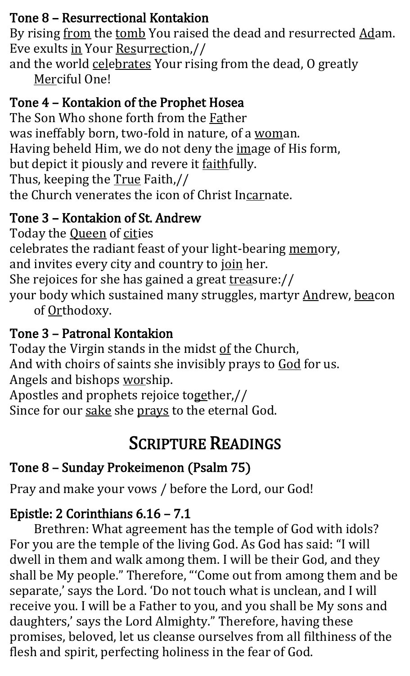#### Tone 8 – Resurrectional Kontakion

By rising from the tomb You raised the dead and resurrected Adam. Eve exults in Your Resurrection,//

and the world celebrates Your rising from the dead, O greatly Merciful One!

#### Tone 4 – Kontakion of the Prophet Hosea

The Son Who shone forth from the Father was ineffably born, two-fold in nature, of a woman. Having beheld Him, we do not deny the image of His form, but depict it piously and revere it faithfully. Thus, keeping the True Faith,// the Church venerates the icon of Christ Incarnate.

#### Tone 3 – Kontakion of St. Andrew

Today the **Queen** of cities celebrates the radiant feast of your light-bearing memory, and invites every city and country to join her. She rejoices for she has gained a great treasure:// your body which sustained many struggles, martyr Andrew, beacon of Orthodoxy.

#### Tone 3 – Patronal Kontakion

Today the Virgin stands in the midst of the Church, And with choirs of saints she invisibly prays to God for us. Angels and bishops worship. Apostles and prophets rejoice together,// Since for our sake she prays to the eternal God.

# SCRIPTURE READINGS

#### Tone 8 – Sunday Prokeimenon (Psalm 75)

Pray and make your vows / before the Lord, our God!

### Epistle: 2 Corinthians 6.16 – 7.1

Brethren: What agreement has the temple of God with idols? For you are the temple of the living God. As God has said: "I will dwell in them and walk among them. I will be their God, and they shall be My people." Therefore, "'Come out from among them and be separate,' says the Lord. 'Do not touch what is unclean, and I will receive you. I will be a Father to you, and you shall be My sons and daughters,' says the Lord Almighty." Therefore, having these promises, beloved, let us cleanse ourselves from all filthiness of the flesh and spirit, perfecting holiness in the fear of God.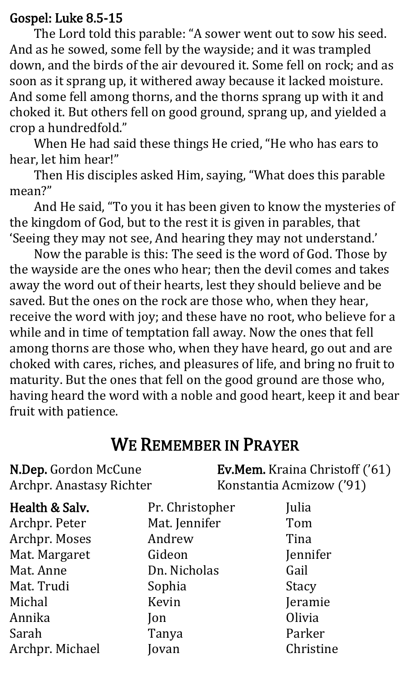#### Gospel: Luke 8.5-15

The Lord told this parable: "A sower went out to sow his seed. And as he sowed, some fell by the wayside; and it was trampled down, and the birds of the air devoured it. Some fell on rock; and as soon as it sprang up, it withered away because it lacked moisture. And some fell among thorns, and the thorns sprang up with it and choked it. But others fell on good ground, sprang up, and yielded a crop a hundredfold."

When He had said these things He cried, "He who has ears to hear, let him hear!"

Then His disciples asked Him, saying, "What does this parable mean?"

And He said, "To you it has been given to know the mysteries of the kingdom of God, but to the rest it is given in parables, that 'Seeing they may not see, And hearing they may not understand.'

Now the parable is this: The seed is the word of God. Those by the wayside are the ones who hear; then the devil comes and takes away the word out of their hearts, lest they should believe and be saved. But the ones on the rock are those who, when they hear, receive the word with joy; and these have no root, who believe for a while and in time of temptation fall away. Now the ones that fell among thorns are those who, when they have heard, go out and are choked with cares, riches, and pleasures of life, and bring no fruit to maturity. But the ones that fell on the good ground are those who, having heard the word with a noble and good heart, keep it and bear fruit with patience.

### WE REMEMBER IN PRAYER

N.Dep. Gordon McCune Archpr. Anastasy Richter Ev.Mem. Kraina Christoff ('61) Konstantia Acmizow ('91)

| Health & Salv.  | Pr. Christopher | Julia        |
|-----------------|-----------------|--------------|
| Archpr. Peter   | Mat. Jennifer   | Tom          |
| Archpr. Moses   | Andrew          | Tina         |
| Mat. Margaret   | Gideon          | Jennifer     |
| Mat. Anne       | Dn. Nicholas    | Gail         |
| Mat. Trudi      | Sophia          | <b>Stacy</b> |
| Michal          | Kevin           | Jeramie      |
| Annika          | Jon             | Olivia       |
| Sarah           | Tanya           | Parker       |
| Archpr. Michael | Jovan           | Christine    |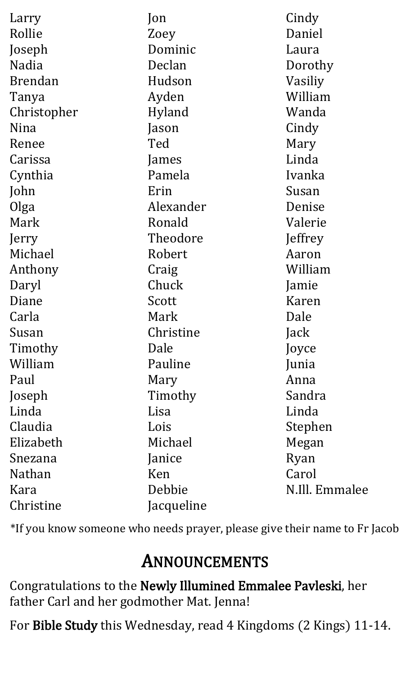| Larry          | Jon        | Cindy          |
|----------------|------------|----------------|
| Rollie         | Zoey       | Daniel         |
| Joseph         | Dominic    | Laura          |
| Nadia          | Declan     | Dorothy        |
| <b>Brendan</b> | Hudson     | Vasiliy        |
| Tanya          | Ayden      | William        |
| Christopher    | Hyland     | Wanda          |
| Nina           | Jason      | Cindy          |
| Renee          | Ted        | Mary           |
| Carissa        | James      | Linda          |
| Cynthia        | Pamela     | Ivanka         |
| John           | Erin       | Susan          |
| Olga           | Alexander  | Denise         |
| Mark           | Ronald     | Valerie        |
| Jerry          | Theodore   | Jeffrey        |
| Michael        | Robert     | Aaron          |
| Anthony        | Craig      | William        |
| Daryl          | Chuck      | Jamie          |
| Diane          | Scott      | Karen          |
| Carla          | Mark       | Dale           |
| Susan          | Christine  | Jack           |
| Timothy        | Dale       | Joyce          |
| William        | Pauline    | Junia          |
| Paul           | Mary       | Anna           |
| Joseph         | Timothy    | Sandra         |
| Linda          | Lisa       | Linda          |
| Claudia        | Lois       | Stephen        |
| Elizabeth      | Michael    | Megan          |
| Snezana        | Janice     | Ryan           |
| Nathan         | Ken        | Carol          |
| Kara           | Debbie     | N.Ill. Emmalee |
| Christine      | Jacqueline |                |

\*If you know someone who needs prayer, please give their name to Fr Jacob

# ANNOUNCEMENTS

Congratulations to the Newly Illumined Emmalee Pavleski, her father Carl and her godmother Mat. Jenna!

For Bible Study this Wednesday, read 4 Kingdoms (2 Kings) 11-14.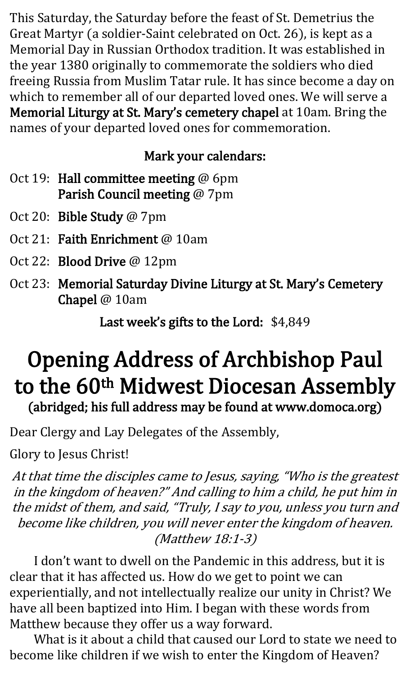This Saturday, the Saturday before the feast of St. Demetrius the Great Martyr (a soldier-Saint celebrated on Oct. 26), is kept as a Memorial Day in Russian Orthodox tradition. It was established in the year 1380 originally to commemorate the soldiers who died freeing Russia from Muslim Tatar rule. It has since become a day on which to remember all of our departed loved ones. We will serve a Memorial Liturgy at St. Mary's cemetery chapel at 10am. Bring the names of your departed loved ones for commemoration.

#### Mark your calendars:

- Oct 19: Hall committee meeting @ 6pm Parish Council meeting @ 7pm
- Oct 20: Bible Study @ 7pm
- Oct 21: Faith Enrichment @ 10am
- Oct 22: Blood Drive @ 12pm
- Oct 23: Memorial Saturday Divine Liturgy at St. Mary's Cemetery Chapel @ 10am

Last week's gifts to the Lord: \$4,849

# Opening Address of Archbishop Paul to the 60<sup>th</sup> Midwest Diocesan Assembly (abridged; his full address may be found at www.domoca.org)

Dear Clergy and Lay Delegates of the Assembly,

Glory to Jesus Christ!

At that time the disciples came to Jesus, saying, "Who is the greatest in the kingdom of heaven?" And calling to him a child, he put him in the midst of them, and said, "Truly, I say to you, unless you turn and become like children, you will never enter the kingdom of heaven. (Matthew 18:1-3)

I don't want to dwell on the Pandemic in this address, but it is clear that it has affected us. How do we get to point we can experientially, and not intellectually realize our unity in Christ? We have all been baptized into Him. I began with these words from Matthew because they offer us a way forward.

What is it about a child that caused our Lord to state we need to become like children if we wish to enter the Kingdom of Heaven?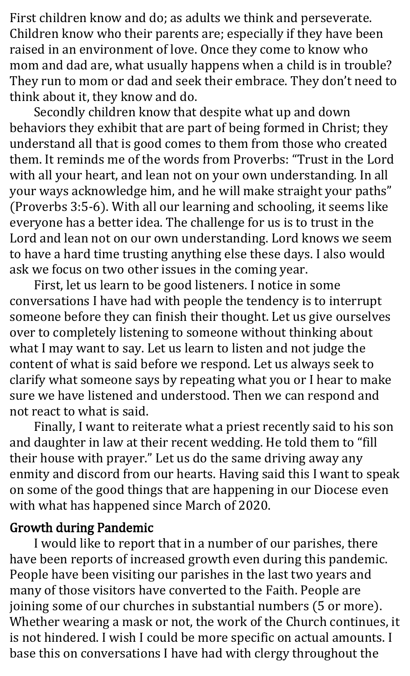First children know and do; as adults we think and perseverate. Children know who their parents are; especially if they have been raised in an environment of love. Once they come to know who mom and dad are, what usually happens when a child is in trouble? They run to mom or dad and seek their embrace. They don't need to think about it, they know and do.

Secondly children know that despite what up and down behaviors they exhibit that are part of being formed in Christ; they understand all that is good comes to them from those who created them. It reminds me of the words from Proverbs: "Trust in the Lord with all your heart, and lean not on your own understanding. In all your ways acknowledge him, and he will make straight your paths" (Proverbs 3:5-6). With all our learning and schooling, it seems like everyone has a better idea. The challenge for us is to trust in the Lord and lean not on our own understanding. Lord knows we seem to have a hard time trusting anything else these days. I also would ask we focus on two other issues in the coming year.

First, let us learn to be good listeners. I notice in some conversations I have had with people the tendency is to interrupt someone before they can finish their thought. Let us give ourselves over to completely listening to someone without thinking about what I may want to say. Let us learn to listen and not judge the content of what is said before we respond. Let us always seek to clarify what someone says by repeating what you or I hear to make sure we have listened and understood. Then we can respond and not react to what is said.

Finally, I want to reiterate what a priest recently said to his son and daughter in law at their recent wedding. He told them to "fill their house with prayer." Let us do the same driving away any enmity and discord from our hearts. Having said this I want to speak on some of the good things that are happening in our Diocese even with what has happened since March of 2020.

#### Growth during Pandemic

I would like to report that in a number of our parishes, there have been reports of increased growth even during this pandemic. People have been visiting our parishes in the last two years and many of those visitors have converted to the Faith. People are joining some of our churches in substantial numbers (5 or more). Whether wearing a mask or not, the work of the Church continues, it is not hindered. I wish I could be more specific on actual amounts. I base this on conversations I have had with clergy throughout the